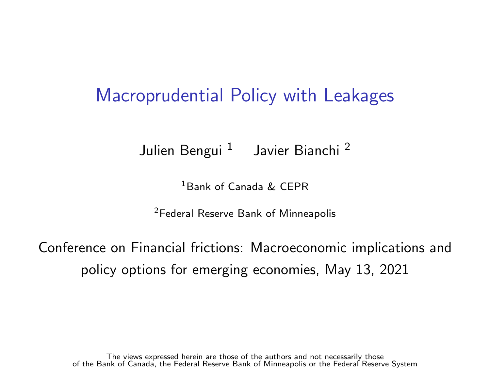#### Macroprudential Policy with Leakages

Julien Bengui <sup>1</sup> Javier Bianchi <sup>2</sup>

<sup>1</sup>Bank of Canada & CEPR

<sup>2</sup>Federal Reserve Bank of Minneapolis

Conference on Financial frictions: Macroeconomic implications and policy options for emerging economies, May 13, 2021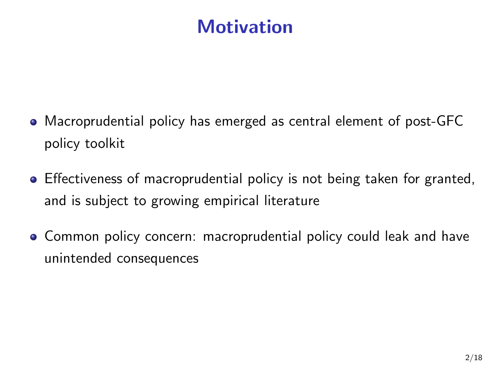## **Motivation**

- Macroprudential policy has emerged as central element of post-GFC policy toolkit
- Effectiveness of macroprudential policy is not being taken for granted, and is subject to growing empirical literature
- Common policy concern: macroprudential policy could leak and have unintended consequences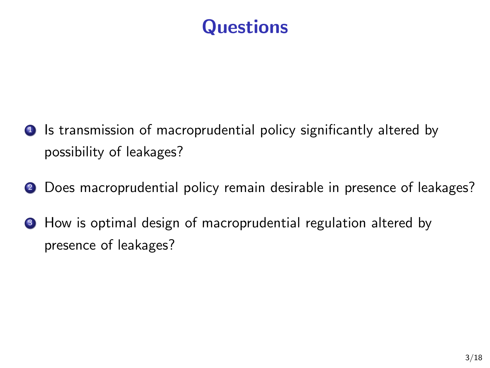## **Questions**

- **1** Is transmission of macroprudential policy significantly altered by possibility of leakages?
- **2** Does macroprudential policy remain desirable in presence of leakages?
- <sup>3</sup> How is optimal design of macroprudential regulation altered by presence of leakages?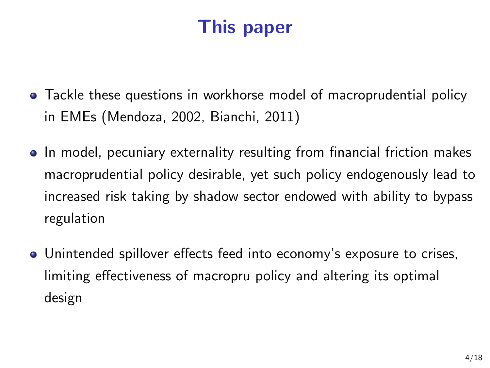# This paper

- Tackle these questions in workhorse model of macroprudential policy in EMEs (Mendoza, 2002, Bianchi, 2011)
- In model, pecuniary externality resulting from financial friction makes macroprudential policy desirable, yet such policy endogenously lead to increased risk taking by shadow sector endowed with ability to bypass regulation
- Unintended spillover effects feed into economy's exposure to crises, limiting effectiveness of macropru policy and altering its optimal design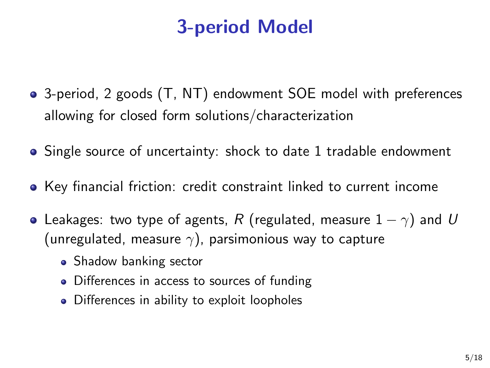# 3-period Model

- 3-period, 2 goods (T, NT) endowment SOE model with preferences allowing for closed form solutions/characterization
- Single source of uncertainty: shock to date 1 tradable endowment
- Key financial friction: credit constraint linked to current income
- Leakages: two type of agents, R (regulated, measure  $1 \gamma$ ) and U (unregulated, measure  $\gamma$ ), parsimonious way to capture
	- Shadow banking sector
	- Differences in access to sources of funding
	- Differences in ability to exploit loopholes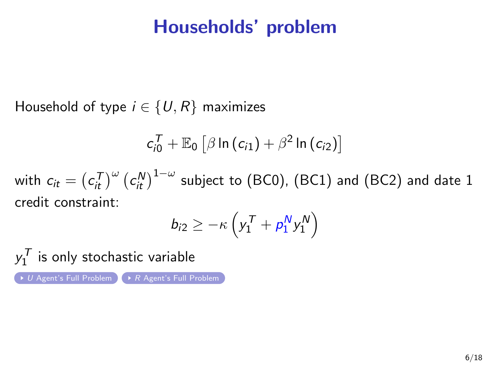#### Households' problem

<span id="page-5-0"></span>Household of type  $i \in \{U, R\}$  maximizes

$$
c_{i0}^{\mathcal{T}} + \mathbb{E}_0 \left[ \beta \ln \left( c_{i1} \right) + \beta^2 \ln \left( c_{i2} \right) \right]
$$

with  $c_{it} = \left(c_{it}^\mathcal{T}\right)^\omega \left(c_{it}^\mathcal{N}\right)^{1-\omega}$  subject to (BC0), (BC1) and (BC2) and date  $1$ credit constraint:

$$
b_{i2} \geq -\kappa \left( y_1^{\mathsf{T}} + \rho_1^{\mathsf{N}} y_1^{\mathsf{N}} \right)
$$

 $y_1^{\mathcal T}$  is only stochastic variable  $U$  [Agent's Full Problem](#page-23-0)  $R$  Agent's Full Problem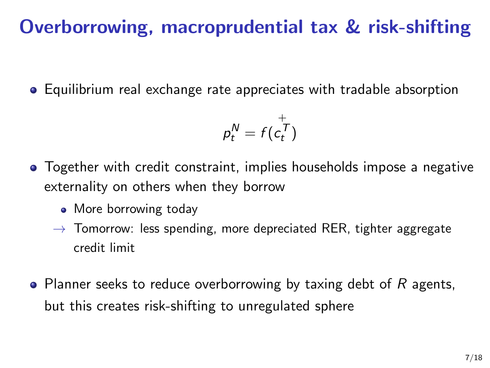## Overborrowing, macroprudential tax & risk-shifting

Equilibrium real exchange rate appreciates with tradable absorption

$$
p_t^N = f(c_t^{\top})
$$

- Together with credit constraint, implies households impose a negative externality on others when they borrow
	- More borrowing today
	- $\rightarrow$  Tomorrow: less spending, more depreciated RER, tighter aggregate credit limit
- Planner seeks to reduce overborrowing by taxing debt of  $R$  agents, but this creates risk-shifting to unregulated sphere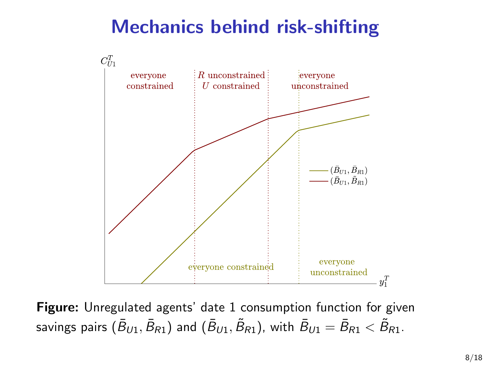# Mechanics behind risk-shifting



Figure: Unregulated agents' date 1 consumption function for given savings pairs  $(\bar{B}_{U1},\bar{B}_{R1})$  and  $(\bar{B}_{U1},\tilde{B}_{R1})$ , with  $\bar{B}_{U1}=\bar{B}_{R1}<\tilde{B}_{R1}.$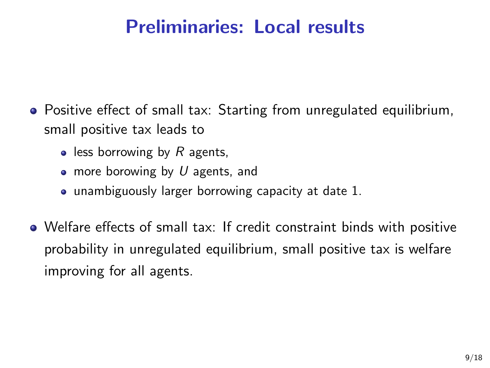## Preliminaries: Local results

- Positive effect of small tax: Starting from unregulated equilibrium, small positive tax leads to
	- $\bullet$  less borrowing by R agents,
	- more borowing by  $U$  agents, and
	- unambiguously larger borrowing capacity at date 1.
- Welfare effects of small tax: If credit constraint binds with positive probability in unregulated equilibrium, small positive tax is welfare improving for all agents.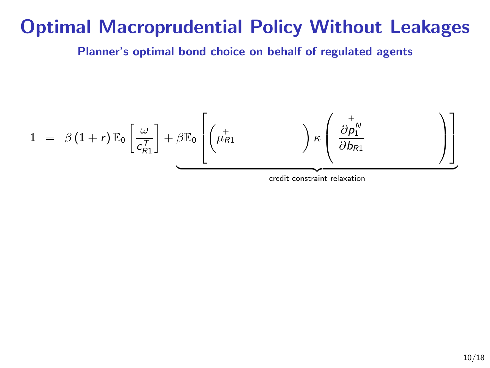#### Optimal Macroprudential Policy Without Leakages

Planner's optimal bond choice on behalf of regulated agents

$$
1 = \beta (1+r) \mathbb{E}_0 \left[ \frac{\omega}{c_{R1}^T} \right] + \beta \mathbb{E}_0 \left[ \left( \mu_{R1}^+ \right) \kappa \left( \frac{\partial p_1^N}{\partial b_{R1}} \right) \right]
$$
\n
$$
\underbrace{\left( \frac{\omega}{c_{R1}^T} \right)}_{\text{credit constraint relaxation}}
$$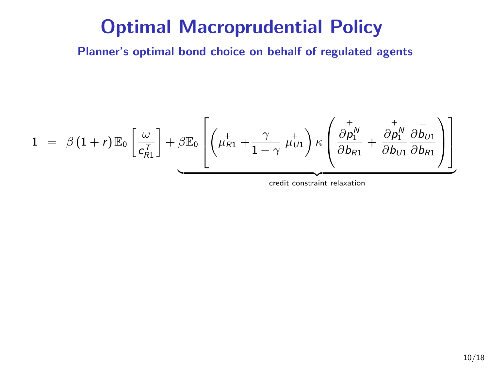Planner's optimal bond choice on behalf of regulated agents

$$
1 = \beta (1+r) \mathbb{E}_0 \left[ \frac{\omega}{c_{R1}^T} \right] + \beta \mathbb{E}_0 \left[ \left( \mu_{R1}^+ + \frac{\gamma}{1-\gamma} \mu_{U1}^+ \right) \kappa \left( \frac{\partial p_1^N}{\partial b_{R1}} + \frac{\partial p_1^N}{\partial b_{U1}} \frac{\partial \bar{b}_{U1}}{\partial b_{R1}} \right) \right]
$$
\n
$$
\underbrace{\left( \mu_{R1}^+ + \frac{\gamma}{1-\gamma} \mu_{U1}^+ \right) \kappa \left( \frac{\partial p_1^N}{\partial b_{R1}} + \frac{\partial p_1^N}{\partial b_{U1}} \frac{\partial \bar{b}_{U1}}{\partial b_{R1}} \right)}_{\text{credit constraint relaxation}}
$$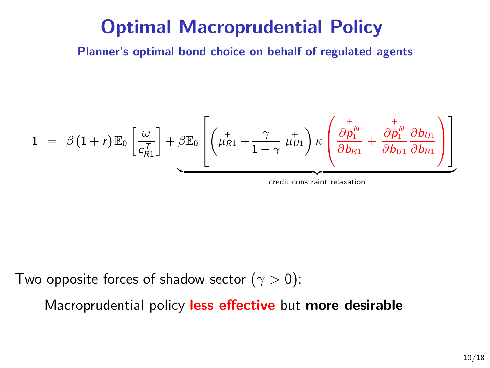Planner's optimal bond choice on behalf of regulated agents

$$
1 = \beta (1+r) \mathbb{E}_0 \left[ \frac{\omega}{c_{R1}^T} \right] + \beta \mathbb{E}_0 \left[ \left( \mu_{R1}^+ + \frac{\gamma}{1-\gamma} \mu_{U1}^+ \right) \kappa \left( \frac{\partial p_1^N}{\partial b_{R1}} + \frac{\partial p_1^N}{\partial b_{U1}} \frac{\partial \bar{b}_{U1}}{\partial b_{R1}} \right) \right]
$$
\n
$$
\underbrace{\left( \mu_{R1}^+ + \frac{\gamma}{1-\gamma} \mu_{U1}^+ \right) \kappa \left( \frac{\partial p_1^N}{\partial b_{R1}} + \frac{\partial p_1^N}{\partial b_{U1}} \frac{\partial \bar{b}_{U1}}{\partial b_{R1}} \right)}_{\text{credit constraint relaxation}}
$$

Two opposite forces of shadow sector  $(\gamma > 0)$ :

Macroprudential policy less effective but more desirable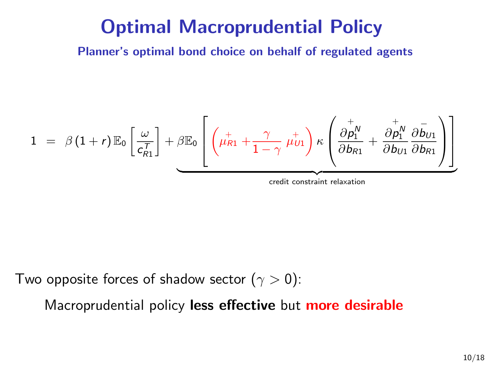Planner's optimal bond choice on behalf of regulated agents

$$
1 = \beta (1+r) \mathbb{E}_0 \left[ \frac{\omega}{c_{R1}^T} \right] + \beta \mathbb{E}_0 \left[ \left( \mu_{R1}^+ + \frac{\gamma}{1-\gamma} \mu_{U1}^+ \right) \kappa \left( \frac{\partial p_1^N}{\partial b_{R1}} + \frac{\partial p_1^N}{\partial b_{U1}} \frac{\partial \bar{b}_{U1}}{\partial b_{R1}} \right) \right]
$$
\n
$$
\underbrace{\left( \mu_{R1}^+ + \frac{\gamma}{1-\gamma} \mu_{U1}^+ \right) \kappa \left( \mu_{R1}^+ + \frac{\partial p_1^N}{\partial b_{U1}} \frac{\partial \bar{b}_{U1}}{\partial b_{R1}} \right)}_{\text{credit constraint relaxation}}
$$

Two opposite forces of shadow sector  $(\gamma > 0)$ :

Macroprudential policy less effective but more desirable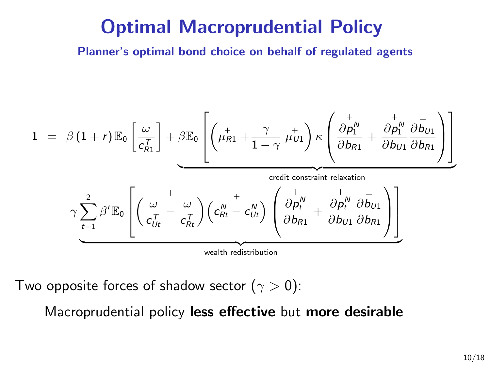Planner's optimal bond choice on behalf of regulated agents

$$
1 = \beta (1+r) \mathbb{E}_{0} \left[ \frac{\omega}{c_{R1}^{T}} \right] + \beta \mathbb{E}_{0} \left[ \left( \mu_{R1}^{+} + \frac{\gamma}{1-\gamma} \mu_{U1}^{+} \right) \kappa \left( \frac{\partial p_{1}^{+}}{\partial b_{R1}} + \frac{\partial p_{1}^{+}}{\partial b_{U1}} \frac{\partial \bar{b}_{U1}}{\partial b_{R1}} \right) \right]
$$
\n
$$
\gamma \sum_{t=1}^{2} \beta^{t} \mathbb{E}_{0} \left[ \left( \frac{\omega}{c_{Ut}^{T}} - \frac{\omega}{c_{Rt}^{T}} \right) \left( c_{Rt}^{N} - c_{Ut}^{N} \right) \left( \frac{\partial p_{t}^{N}}{\partial b_{R1}} + \frac{\partial p_{t}^{N}}{\partial b_{U1}} \frac{\partial \bar{b}_{U1}}{\partial b_{R1}} \right) \right]
$$
\n
$$
\xrightarrow{\text{wealth redistribution}}
$$
\n
$$
\xrightarrow{\text{wealth redistribution}}
$$

Two opposite forces of shadow sector  $(\gamma > 0)$ :

Macroprudential policy less effective but more desirable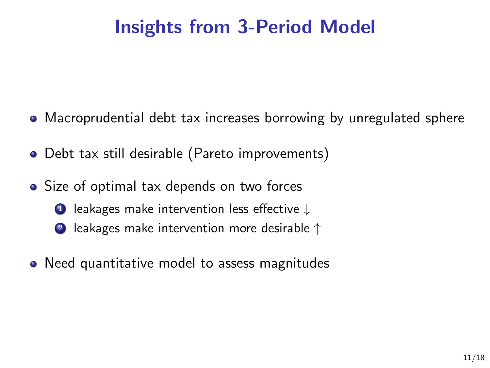# Insights from 3-Period Model

- Macroprudential debt tax increases borrowing by unregulated sphere
- Debt tax still desirable (Pareto improvements)
- Size of optimal tax depends on two forces
	- <sup>1</sup> leakages make intervention less effective ↓
	- <sup>2</sup> leakages make intervention more desirable ↑
- Need quantitative model to assess magnitudes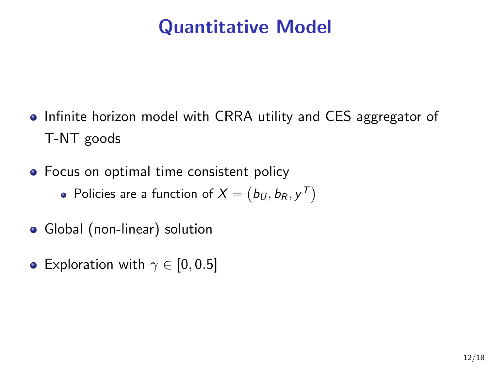# Quantitative Model

- Infinite horizon model with CRRA utility and CES aggregator of T-NT goods
- Focus on optimal time consistent policy
	- Policies are a function of  $X=\left(b_{U},b_{R},y^{T}\right)$
- Global (non-linear) solution
- Exploration with  $\gamma \in [0, 0.5]$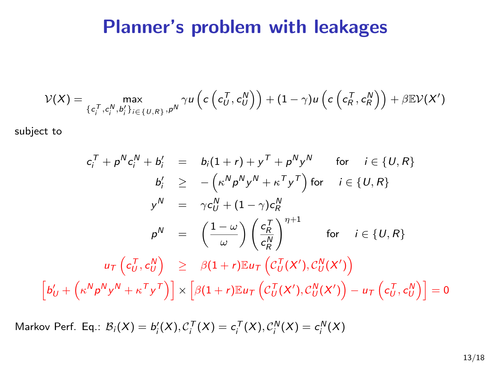#### Planner's problem with leakages

$$
\mathcal{V}(X) = \max_{\{c_i^T, c_i^N, b_i'\}_{i \in \{U, R\}}, p^N} \gamma u\left(c\left(c_{U}^T, c_{U}^N\right)\right) + (1 - \gamma) u\left(c\left(c_{R}^T, c_{R}^N\right)\right) + \beta \mathbb{E} \mathcal{V}(X')
$$

subject to

h

$$
c_i^T + p^N c_i^N + b_i' = b_i(1+r) + y^T + p^N y^N \quad \text{for} \quad i \in \{U, R\}
$$
  
\n
$$
b_i' \ge -(\kappa^N p^N y^N + \kappa^T y^T) \text{ for } \quad i \in \{U, R\}
$$
  
\n
$$
y^N = \gamma c_U^N + (1 - \gamma) c_R^N
$$
  
\n
$$
p^N = \left(\frac{1-\omega}{\omega}\right) \left(\frac{c_R^T}{c_R^N}\right)^{\eta+1} \text{ for } \quad i \in \{U, R\}
$$
  
\n
$$
u_T \left(c_U^T, c_U^N\right) \ge \beta(1+r) \mathbb{E}u_T \left(C_U^T(X'), C_U^N(X')\right)
$$
  
\n
$$
b_U' + \left(\kappa^N p^N y^N + \kappa^T y^T\right) \ge \beta(1+r) \mathbb{E}u_T \left(C_U^T(X'), C_U^N(X')\right) - u_T \left(c_U^T, c_U^N\right) = 0
$$

Markov Perf. Eq.:  $\mathcal{B}_i(X) = b_i'(X), \mathcal{C}_i^{\mathsf{T}}(X) = c_i^{\mathsf{T}}(X), \mathcal{C}_i^{\mathsf{N}}(X) = c_i^{\mathsf{N}}(X)$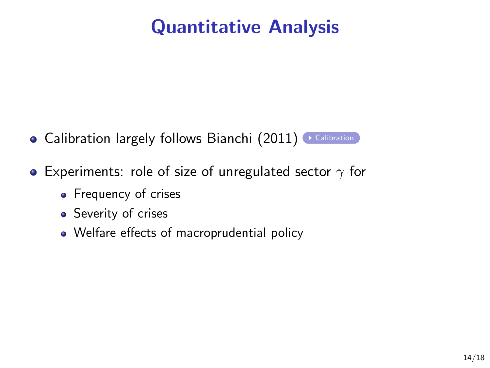# Quantitative Analysis

- <span id="page-17-0"></span>**• [Calibration](#page-24-0) largely follows Bianchi (2011)** Calibration
- **•** Experiments: role of size of unregulated sector  $\gamma$  for
	- Frequency of crises
	- Severity of crises
	- Welfare effects of macroprudential policy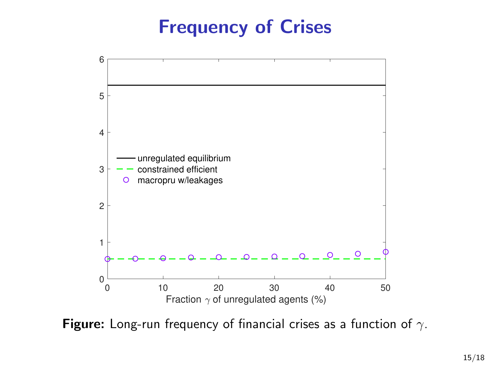## Frequency of Crises



Figure: Long-run frequency of financial crises as a function of  $\gamma$ .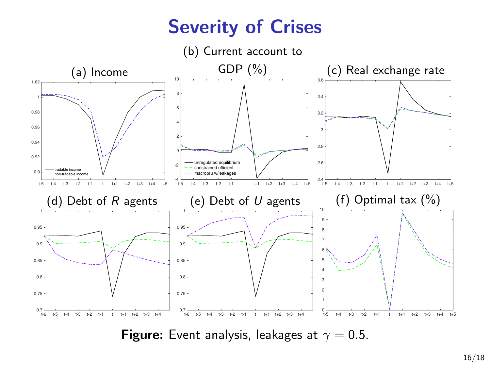# Severity of Crises



**Figure:** Event analysis, leakages at  $\gamma = 0.5$ .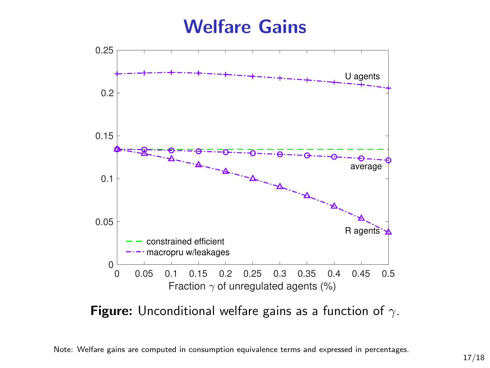#### Welfare Gains



Figure: Unconditional welfare gains as a function of  $\gamma$ .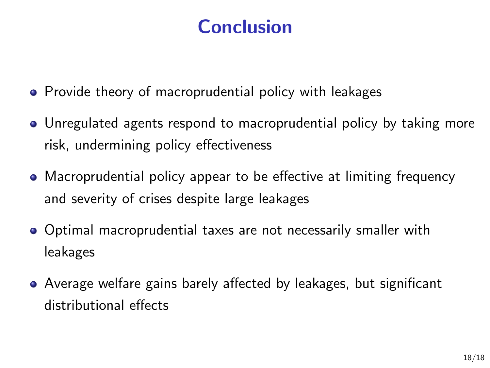# **Conclusion**

- Provide theory of macroprudential policy with leakages
- Unregulated agents respond to macroprudential policy by taking more risk, undermining policy effectiveness
- Macroprudential policy appear to be effective at limiting frequency and severity of crises despite large leakages
- Optimal macroprudential taxes are not necessarily smaller with leakages
- Average welfare gains barely affected by leakages, but significant distributional effects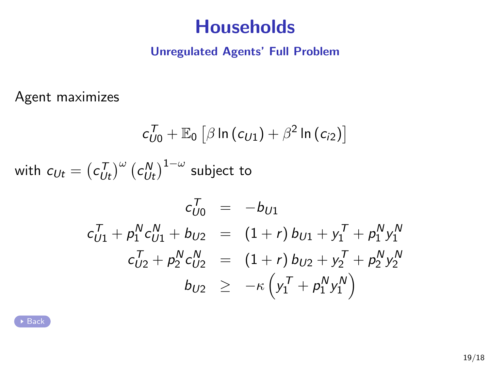#### **Households**

#### Unregulated Agents' Full Problem

<span id="page-22-0"></span>Agent maximizes

$$
c_{U0}^{T} + \mathbb{E}_{0} \left[ \beta \ln (c_{U1}) + \beta^{2} \ln (c_{i2}) \right]
$$
  
with  $c_{Ut} = (c_{Ut}^{T})^{\omega} (c_{Ut}^{N})^{1-\omega}$  subject to  

$$
c_{U0}^{T} = -b_{U1}
$$

$$
c_{U1}^{T} + p_{1}^{N} c_{U1}^{N} + b_{U2} = (1+r) b_{U1} + y_{1}^{T} + p_{1}^{N} y_{1}^{N}
$$

$$
c_{U2}^{T} + p_{2}^{N} c_{U2}^{N} = (1+r) b_{U2} + y_{2}^{T} + p_{2}^{N} y_{2}^{N}
$$

$$
b_{U2} \geq -\kappa \left( y_{1}^{T} + p_{1}^{N} y_{1}^{N} \right)
$$

 $\overline{B}$  [Back](#page-5-0)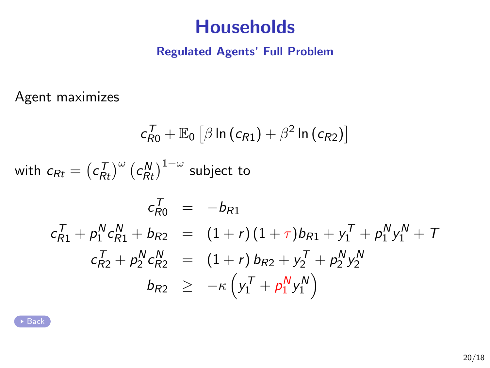#### **Households**

#### Regulated Agents' Full Problem

<span id="page-23-0"></span>Agent maximizes

$$
c_{R0}^{T} + \mathbb{E}_{0} \left[ \beta \ln (c_{R1}) + \beta^{2} \ln (c_{R2}) \right]
$$
  
with  $c_{Rt} = (c_{Rt}^{T})^{\omega} (c_{Rt}^{N})^{1-\omega}$  subject to  

$$
c_{R0}^{T} = -b_{R1}
$$

$$
c_{R1}^{T} + p_{1}^{N} c_{R1}^{N} + b_{R2} = (1+r)(1+\tau)b_{R1} + y_{1}^{T} + p_{1}^{N} y_{1}^{N} + T
$$

$$
c_{R2}^{T} + p_{2}^{N} c_{R2}^{N} = (1+r) b_{R2} + y_{2}^{T} + p_{2}^{N} y_{2}^{N}
$$

$$
b_{R2} \ge -\kappa \left( y_{1}^{T} + p_{1}^{N} y_{1}^{N} \right)
$$